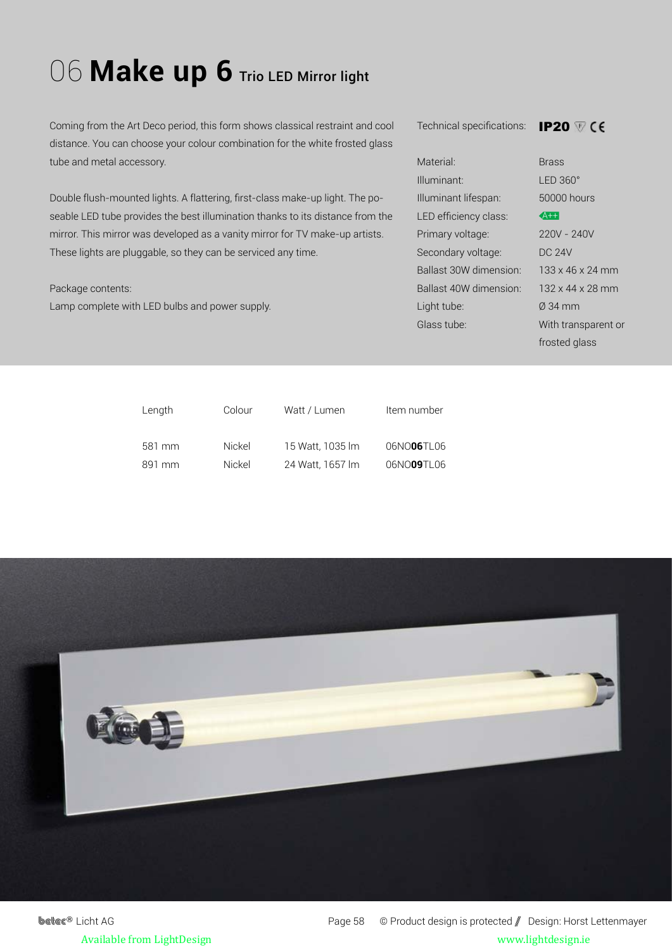## 06 Make up 6 Trio LED Mirror light

Coming from the Art Deco period, this form shows classical restraint and cool distance. You can choose your colour combination for the white frosted glass tube and metal accessory.

Double flush-mounted lights. A flattering, first-class make-up light. The poseable LED tube provides the best illumination thanks to its distance from the mirror. This mirror was developed as a vanity mirror for TV make-up artists. These lights are pluggable, so they can be serviced any time.

## Package contents:

Lamp complete with LED bulbs and power supply.

Technical specifications: IP20

| Material:              | <b>Brass</b>              |
|------------------------|---------------------------|
| Illuminant:            | $LED 360^\circ$           |
| Illuminant lifespan:   | 50000 hours               |
| LED efficiency class:  | $4+$                      |
| Primary voltage:       | 220V - 240V               |
| Secondary voltage:     | <b>DC 24V</b>             |
| Ballast 30W dimension: | $133 \times 46 \times 24$ |
| Ballast 40W dimension: | $132 \times 44 \times 28$ |
| Light tube:            | $0.34$ mm                 |
| Glass tube:            | With transpa              |
|                        |                           |

240V  $5x 24 mm$  $4 \times 28$  mm nsparent or frosted glass

| Length | Colour | Watt / Lumen     | Item number |
|--------|--------|------------------|-------------|
| 581 mm | Nickel | 15 Watt, 1035 lm | 06NO06TL06  |
| 891 mm | Nickel | 24 Watt, 1657 lm | 06NO09TL06  |



**betec<sup>®</sup>** Licht AG Page 58 © Product design is protected / Design: Horst Lettenmayer Available from LightDesign www.lightdesign.ie